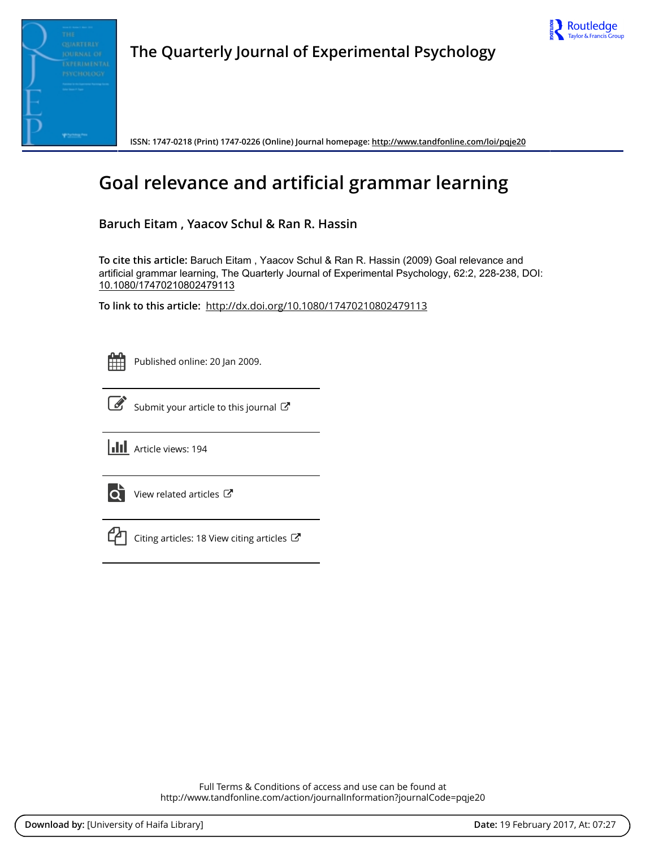



**The Quarterly Journal of Experimental Psychology**

**ISSN: 1747-0218 (Print) 1747-0226 (Online) Journal homepage:<http://www.tandfonline.com/loi/pqje20>**

# **Goal relevance and artificial grammar learning**

**Baruch Eitam , Yaacov Schul & Ran R. Hassin**

**To cite this article:** Baruch Eitam , Yaacov Schul & Ran R. Hassin (2009) Goal relevance and artificial grammar learning, The Quarterly Journal of Experimental Psychology, 62:2, 228-238, DOI: [10.1080/17470210802479113](http://www.tandfonline.com/action/showCitFormats?doi=10.1080/17470210802479113)

**To link to this article:** <http://dx.doi.org/10.1080/17470210802479113>



Published online: 20 Jan 2009.



 $\overrightarrow{S}$  [Submit your article to this journal](http://www.tandfonline.com/action/authorSubmission?journalCode=pqje20&show=instructions)  $\overrightarrow{S}$ 

**Article views: 194** 



 $\overrightarrow{Q}$  [View related articles](http://www.tandfonline.com/doi/mlt/10.1080/17470210802479113)  $\overrightarrow{C}$ 



 $\mathbb{C}$  [Citing articles: 18 View citing articles](http://www.tandfonline.com/doi/citedby/10.1080/17470210802479113#tabModule)  $\mathbb{C}^{\bullet}$ 

Full Terms & Conditions of access and use can be found at <http://www.tandfonline.com/action/journalInformation?journalCode=pqje20>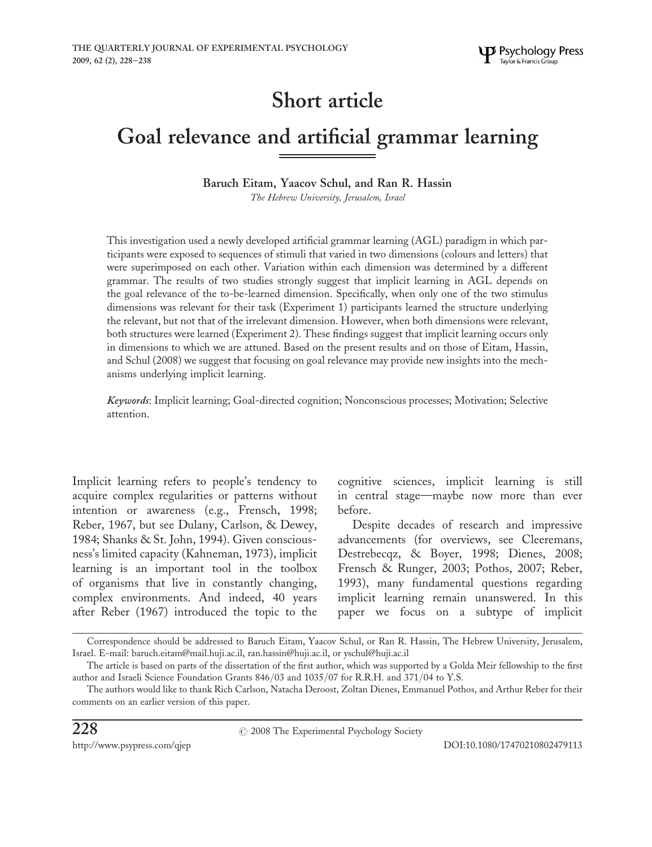## Short article

## Goal relevance and artificial grammar learning

## Baruch Eitam, Yaacov Schul, and Ran R. Hassin

The Hebrew University, Jerusalem, Israel

This investigation used a newly developed artificial grammar learning (AGL) paradigm in which participants were exposed to sequences of stimuli that varied in two dimensions (colours and letters) that were superimposed on each other. Variation within each dimension was determined by a different grammar. The results of two studies strongly suggest that implicit learning in AGL depends on the goal relevance of the to-be-learned dimension. Specifically, when only one of the two stimulus dimensions was relevant for their task (Experiment 1) participants learned the structure underlying the relevant, but not that of the irrelevant dimension. However, when both dimensions were relevant, both structures were learned (Experiment 2). These findings suggest that implicit learning occurs only in dimensions to which we are attuned. Based on the present results and on those of Eitam, Hassin, and Schul (2008) we suggest that focusing on goal relevance may provide new insights into the mechanisms underlying implicit learning.

Keywords: Implicit learning; Goal-directed cognition; Nonconscious processes; Motivation; Selective attention.

Implicit learning refers to people's tendency to acquire complex regularities or patterns without intention or awareness (e.g., Frensch, 1998; Reber, 1967, but see Dulany, Carlson, & Dewey, 1984; Shanks & St. John, 1994). Given consciousness's limited capacity (Kahneman, 1973), implicit learning is an important tool in the toolbox of organisms that live in constantly changing, complex environments. And indeed, 40 years after Reber (1967) introduced the topic to the

cognitive sciences, implicit learning is still in central stage—maybe now more than ever before.

Despite decades of research and impressive advancements (for overviews, see Cleeremans, Destrebecqz, & Boyer, 1998; Dienes, 2008; Frensch & Runger, 2003; Pothos, 2007; Reber, 1993), many fundamental questions regarding implicit learning remain unanswered. In this paper we focus on a subtype of implicit

Correspondence should be addressed to Baruch Eitam, Yaacov Schul, or Ran R. Hassin, The Hebrew University, Jerusalem, Israel. E-mail: baruch.eitam@mail.huji.ac.il, ran.hassin@huji.ac.il, or yschul@huji.ac.il

The article is based on parts of the dissertation of the first author, which was supported by a Golda Meir fellowship to the first author and Israeli Science Foundation Grants 846/03 and 1035/07 for R.R.H. and 371/04 to Y.S.

The authors would like to thank Rich Carlson, Natacha Deroost, Zoltan Dienes, Emmanuel Pothos, and Arthur Reber for their comments on an earlier version of this paper.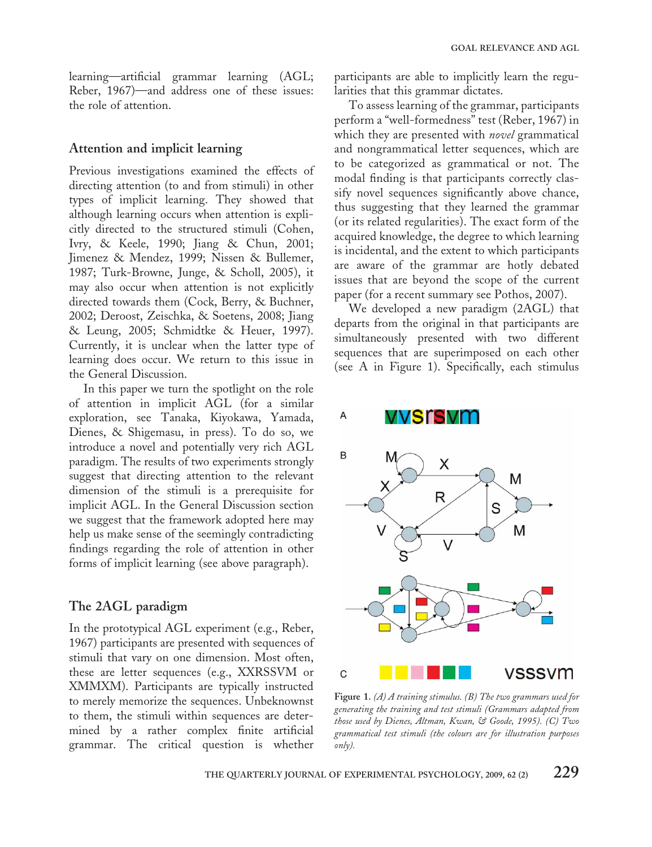learning—artificial grammar learning (AGL; Reber, 1967)—and address one of these issues: the role of attention.

#### Attention and implicit learning

Previous investigations examined the effects of directing attention (to and from stimuli) in other types of implicit learning. They showed that although learning occurs when attention is explicitly directed to the structured stimuli (Cohen, Ivry, & Keele, 1990; Jiang & Chun, 2001; Jimenez & Mendez, 1999; Nissen & Bullemer, 1987; Turk-Browne, Junge, & Scholl, 2005), it may also occur when attention is not explicitly directed towards them (Cock, Berry, & Buchner, 2002; Deroost, Zeischka, & Soetens, 2008; Jiang & Leung, 2005; Schmidtke & Heuer, 1997). Currently, it is unclear when the latter type of learning does occur. We return to this issue in the General Discussion.

In this paper we turn the spotlight on the role of attention in implicit AGL (for a similar exploration, see Tanaka, Kiyokawa, Yamada, Dienes, & Shigemasu, in press). To do so, we introduce a novel and potentially very rich AGL paradigm. The results of two experiments strongly suggest that directing attention to the relevant dimension of the stimuli is a prerequisite for implicit AGL. In the General Discussion section we suggest that the framework adopted here may help us make sense of the seemingly contradicting findings regarding the role of attention in other forms of implicit learning (see above paragraph).

#### The 2AGL paradigm

In the prototypical AGL experiment (e.g., Reber, 1967) participants are presented with sequences of stimuli that vary on one dimension. Most often, these are letter sequences (e.g., XXRSSVM or XMMXM). Participants are typically instructed to merely memorize the sequences. Unbeknownst to them, the stimuli within sequences are determined by a rather complex finite artificial grammar. The critical question is whether

participants are able to implicitly learn the regularities that this grammar dictates.

To assess learning of the grammar, participants perform a "well-formedness" test (Reber, 1967) in which they are presented with *novel* grammatical and nongrammatical letter sequences, which are to be categorized as grammatical or not. The modal finding is that participants correctly classify novel sequences significantly above chance, thus suggesting that they learned the grammar (or its related regularities). The exact form of the acquired knowledge, the degree to which learning is incidental, and the extent to which participants are aware of the grammar are hotly debated issues that are beyond the scope of the current paper (for a recent summary see Pothos, 2007).

We developed a new paradigm (2AGL) that departs from the original in that participants are simultaneously presented with two different sequences that are superimposed on each other (see A in Figure 1). Specifically, each stimulus



Figure 1. (A) A training stimulus. (B) The two grammars used for generating the training and test stimuli (Grammars adapted from those used by Dienes, Altman, Kwan, & Goode, 1995). (C) Two grammatical test stimuli (the colours are for illustration purposes only).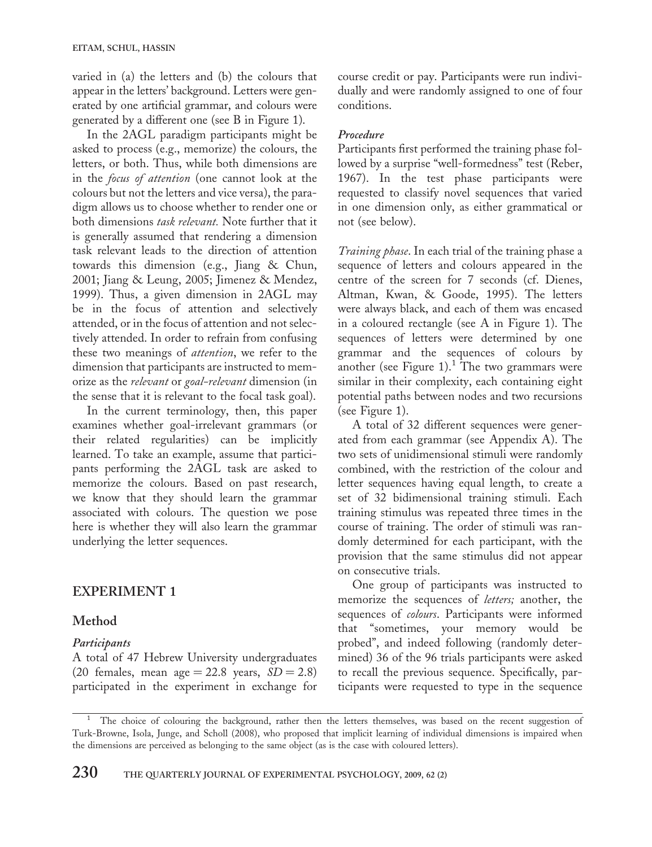varied in (a) the letters and (b) the colours that appear in the letters' background. Letters were generated by one artificial grammar, and colours were generated by a different one (see B in Figure 1).

In the 2AGL paradigm participants might be asked to process (e.g., memorize) the colours, the letters, or both. Thus, while both dimensions are in the focus of attention (one cannot look at the colours but not the letters and vice versa), the paradigm allows us to choose whether to render one or both dimensions task relevant. Note further that it is generally assumed that rendering a dimension task relevant leads to the direction of attention towards this dimension (e.g., Jiang & Chun, 2001; Jiang & Leung, 2005; Jimenez & Mendez, 1999). Thus, a given dimension in 2AGL may be in the focus of attention and selectively attended, or in the focus of attention and not selectively attended. In order to refrain from confusing these two meanings of attention, we refer to the dimension that participants are instructed to memorize as the relevant or goal-relevant dimension (in the sense that it is relevant to the focal task goal).

In the current terminology, then, this paper examines whether goal-irrelevant grammars (or their related regularities) can be implicitly learned. To take an example, assume that participants performing the 2AGL task are asked to memorize the colours. Based on past research, we know that they should learn the grammar associated with colours. The question we pose here is whether they will also learn the grammar underlying the letter sequences.

## EXPERIMENT 1

## Method

#### Participants

A total of 47 Hebrew University undergraduates (20 females, mean age  $= 22.8$  years,  $SD = 2.8$ ) participated in the experiment in exchange for course credit or pay. Participants were run individually and were randomly assigned to one of four conditions.

#### Procedure

Participants first performed the training phase followed by a surprise "well-formedness" test (Reber, 1967). In the test phase participants were requested to classify novel sequences that varied in one dimension only, as either grammatical or not (see below).

Training phase. In each trial of the training phase a sequence of letters and colours appeared in the centre of the screen for 7 seconds (cf. Dienes, Altman, Kwan, & Goode, 1995). The letters were always black, and each of them was encased in a coloured rectangle (see A in Figure 1). The sequences of letters were determined by one grammar and the sequences of colours by another (see Figure 1).<sup>1</sup> The two grammars were similar in their complexity, each containing eight potential paths between nodes and two recursions (see Figure 1).

A total of 32 different sequences were generated from each grammar (see Appendix A). The two sets of unidimensional stimuli were randomly combined, with the restriction of the colour and letter sequences having equal length, to create a set of 32 bidimensional training stimuli. Each training stimulus was repeated three times in the course of training. The order of stimuli was randomly determined for each participant, with the provision that the same stimulus did not appear on consecutive trials.

One group of participants was instructed to memorize the sequences of letters; another, the sequences of colours. Participants were informed that "sometimes, your memory would be probed", and indeed following (randomly determined) 36 of the 96 trials participants were asked to recall the previous sequence. Specifically, participants were requested to type in the sequence

<sup>&</sup>lt;sup>1</sup> The choice of colouring the background, rather then the letters themselves, was based on the recent suggestion of Turk-Browne, Isola, Junge, and Scholl (2008), who proposed that implicit learning of individual dimensions is impaired when the dimensions are perceived as belonging to the same object (as is the case with coloured letters).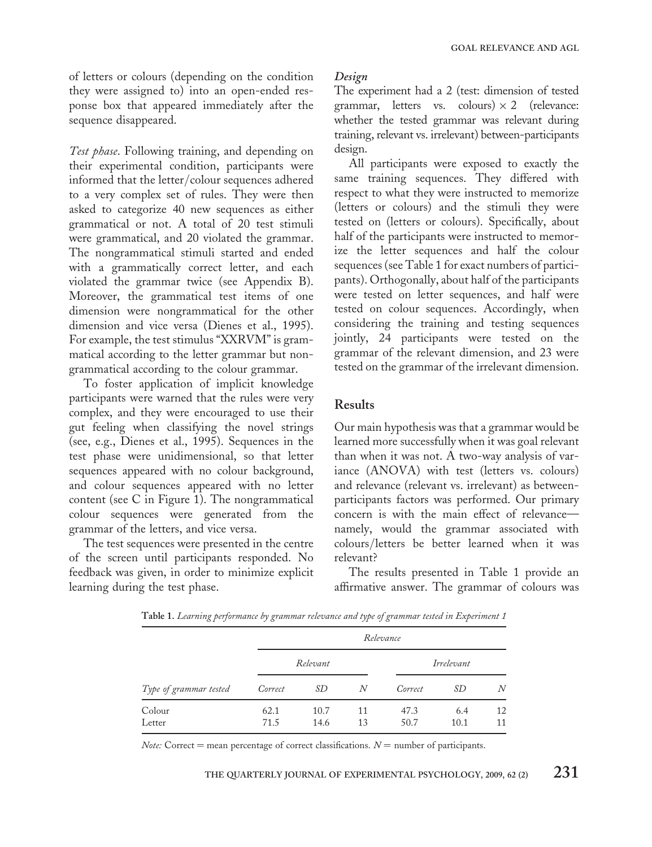of letters or colours (depending on the condition they were assigned to) into an open-ended response box that appeared immediately after the sequence disappeared.

Test phase. Following training, and depending on their experimental condition, participants were informed that the letter/colour sequences adhered to a very complex set of rules. They were then asked to categorize 40 new sequences as either grammatical or not. A total of 20 test stimuli were grammatical, and 20 violated the grammar. The nongrammatical stimuli started and ended with a grammatically correct letter, and each violated the grammar twice (see Appendix B). Moreover, the grammatical test items of one dimension were nongrammatical for the other dimension and vice versa (Dienes et al., 1995). For example, the test stimulus "XXRVM" is grammatical according to the letter grammar but nongrammatical according to the colour grammar.

To foster application of implicit knowledge participants were warned that the rules were very complex, and they were encouraged to use their gut feeling when classifying the novel strings (see, e.g., Dienes et al., 1995). Sequences in the test phase were unidimensional, so that letter sequences appeared with no colour background, and colour sequences appeared with no letter content (see C in Figure 1). The nongrammatical colour sequences were generated from the grammar of the letters, and vice versa.

The test sequences were presented in the centre of the screen until participants responded. No feedback was given, in order to minimize explicit learning during the test phase.

#### Design

The experiment had a 2 (test: dimension of tested grammar, letters vs. colours)  $\times$  2 (relevance: whether the tested grammar was relevant during training, relevant vs. irrelevant) between-participants design.

All participants were exposed to exactly the same training sequences. They differed with respect to what they were instructed to memorize (letters or colours) and the stimuli they were tested on (letters or colours). Specifically, about half of the participants were instructed to memorize the letter sequences and half the colour sequences (see Table 1 for exact numbers of participants). Orthogonally, about half of the participants were tested on letter sequences, and half were tested on colour sequences. Accordingly, when considering the training and testing sequences jointly, 24 participants were tested on the grammar of the relevant dimension, and 23 were tested on the grammar of the irrelevant dimension.

#### Results

Our main hypothesis was that a grammar would be learned more successfully when it was goal relevant than when it was not. A two-way analysis of variance (ANOVA) with test (letters vs. colours) and relevance (relevant vs. irrelevant) as betweenparticipants factors was performed. Our primary concern is with the main effect of relevance namely, would the grammar associated with colours/letters be better learned when it was relevant?

The results presented in Table 1 provide an affirmative answer. The grammar of colours was

Table 1. Learning performance by grammar relevance and type of grammar tested in Experiment 1

| Type of grammar tested | Relevance    |              |          |              |             |          |  |
|------------------------|--------------|--------------|----------|--------------|-------------|----------|--|
|                        | Relevant     |              |          | Irrelevant   |             |          |  |
|                        | Correct      | SD           | N        | Correct      | SD          | N        |  |
| Colour<br>Letter       | 62.1<br>71.5 | 10.7<br>14.6 | 11<br>13 | 47.3<br>50.7 | 6.4<br>10.1 | 12<br>11 |  |

Note: Correct = mean percentage of correct classifications.  $N =$  number of participants.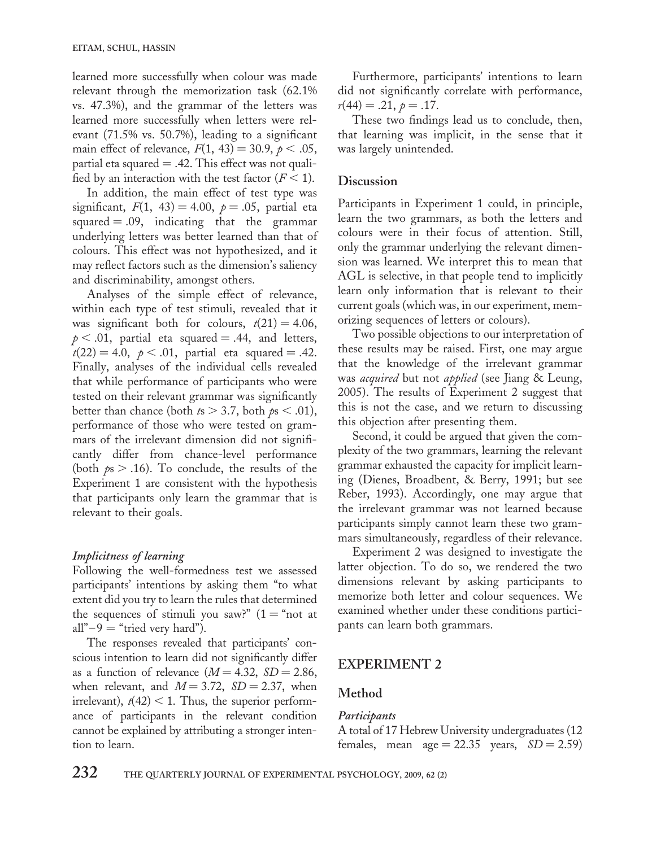learned more successfully when colour was made relevant through the memorization task (62.1% vs. 47.3%), and the grammar of the letters was learned more successfully when letters were relevant (71.5% vs. 50.7%), leading to a significant main effect of relevance,  $F(1, 43) = 30.9, p < .05,$ partial eta squared  $= .42$ . This effect was not qualified by an interaction with the test factor  $(F < 1)$ .

In addition, the main effect of test type was significant,  $F(1, 43) = 4.00, p = .05$ , partial eta squared  $= .09$ , indicating that the grammar underlying letters was better learned than that of colours. This effect was not hypothesized, and it may reflect factors such as the dimension's saliency and discriminability, amongst others.

Analyses of the simple effect of relevance, within each type of test stimuli, revealed that it was significant both for colours,  $t(21) = 4.06$ ,  $p < .01$ , partial eta squared = .44, and letters,  $t(22) = 4.0, \, p < .01, \,$  partial eta squared = .42. Finally, analyses of the individual cells revealed that while performance of participants who were tested on their relevant grammar was significantly better than chance (both  $ts > 3.7$ , both  $ps < .01$ ), performance of those who were tested on grammars of the irrelevant dimension did not significantly differ from chance-level performance (both  $ps > .16$ ). To conclude, the results of the Experiment 1 are consistent with the hypothesis that participants only learn the grammar that is relevant to their goals.

#### Implicitness of learning

Following the well-formedness test we assessed participants' intentions by asking them "to what extent did you try to learn the rules that determined the sequences of stimuli you saw?"  $(1 = "not at$ all" $-9$  = "tried very hard").

The responses revealed that participants' conscious intention to learn did not significantly differ as a function of relevance  $(M = 4.32, SD = 2.86,$ when relevant, and  $M = 3.72$ ,  $SD = 2.37$ , when irrelevant),  $t(42) < 1$ . Thus, the superior performance of participants in the relevant condition cannot be explained by attributing a stronger intention to learn.

Furthermore, participants' intentions to learn did not significantly correlate with performance,  $r(44) = .21, p = .17.$ 

These two findings lead us to conclude, then, that learning was implicit, in the sense that it was largely unintended.

#### Discussion

Participants in Experiment 1 could, in principle, learn the two grammars, as both the letters and colours were in their focus of attention. Still, only the grammar underlying the relevant dimension was learned. We interpret this to mean that AGL is selective, in that people tend to implicitly learn only information that is relevant to their current goals (which was, in our experiment, memorizing sequences of letters or colours).

Two possible objections to our interpretation of these results may be raised. First, one may argue that the knowledge of the irrelevant grammar was acquired but not applied (see Jiang & Leung, 2005). The results of Experiment 2 suggest that this is not the case, and we return to discussing this objection after presenting them.

Second, it could be argued that given the complexity of the two grammars, learning the relevant grammar exhausted the capacity for implicit learning (Dienes, Broadbent, & Berry, 1991; but see Reber, 1993). Accordingly, one may argue that the irrelevant grammar was not learned because participants simply cannot learn these two grammars simultaneously, regardless of their relevance.

Experiment 2 was designed to investigate the latter objection. To do so, we rendered the two dimensions relevant by asking participants to memorize both letter and colour sequences. We examined whether under these conditions participants can learn both grammars.

## EXPERIMENT 2

#### Method

#### **Participants**

A total of 17 Hebrew University undergraduates (12 females, mean  $age = 22.35$  years,  $SD = 2.59$ )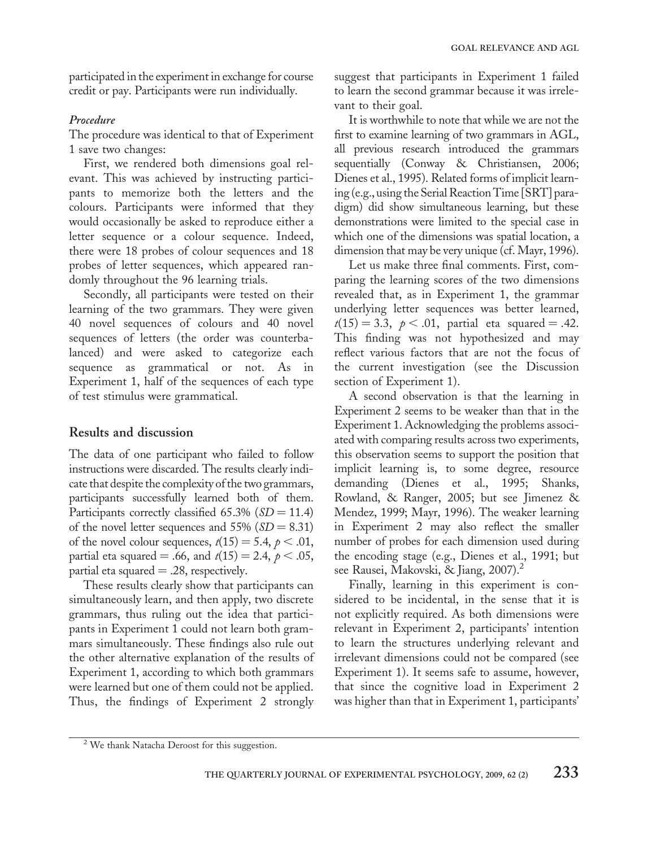participated in the experiment in exchange for course credit or pay. Participants were run individually.

#### Procedure

The procedure was identical to that of Experiment 1 save two changes:

First, we rendered both dimensions goal relevant. This was achieved by instructing participants to memorize both the letters and the colours. Participants were informed that they would occasionally be asked to reproduce either a letter sequence or a colour sequence. Indeed, there were 18 probes of colour sequences and 18 probes of letter sequences, which appeared randomly throughout the 96 learning trials.

Secondly, all participants were tested on their learning of the two grammars. They were given 40 novel sequences of colours and 40 novel sequences of letters (the order was counterbalanced) and were asked to categorize each sequence as grammatical or not. As in Experiment 1, half of the sequences of each type of test stimulus were grammatical.

## Results and discussion

The data of one participant who failed to follow instructions were discarded. The results clearly indicate that despite the complexity of the two grammars, participants successfully learned both of them. Participants correctly classified  $65.3\%$  ( $SD = 11.4$ ) of the novel letter sequences and  $55\%$  ( $SD = 8.31$ ) of the novel colour sequences,  $t(15) = 5.4$ ,  $p < .01$ , partial eta squared = .66, and  $t(15) = 2.4, p < .05$ , partial eta squared  $= .28$ , respectively.

These results clearly show that participants can simultaneously learn, and then apply, two discrete grammars, thus ruling out the idea that participants in Experiment 1 could not learn both grammars simultaneously. These findings also rule out the other alternative explanation of the results of Experiment 1, according to which both grammars were learned but one of them could not be applied. Thus, the findings of Experiment 2 strongly suggest that participants in Experiment 1 failed to learn the second grammar because it was irrelevant to their goal.

It is worthwhile to note that while we are not the first to examine learning of two grammars in AGL, all previous research introduced the grammars sequentially (Conway & Christiansen, 2006; Dienes et al., 1995). Related forms of implicit learning (e.g., using the Serial Reaction Time [SRT] paradigm) did show simultaneous learning, but these demonstrations were limited to the special case in which one of the dimensions was spatial location, a dimension that may be very unique (cf. Mayr, 1996).

Let us make three final comments. First, comparing the learning scores of the two dimensions revealed that, as in Experiment 1, the grammar underlying letter sequences was better learned,  $t(15) = 3.3, \, p < .01, \,$  partial eta squared = .42. This finding was not hypothesized and may reflect various factors that are not the focus of the current investigation (see the Discussion section of Experiment 1).

A second observation is that the learning in Experiment 2 seems to be weaker than that in the Experiment 1. Acknowledging the problems associated with comparing results across two experiments, this observation seems to support the position that implicit learning is, to some degree, resource demanding (Dienes et al., 1995; Shanks, Rowland, & Ranger, 2005; but see Jimenez & Mendez, 1999; Mayr, 1996). The weaker learning in Experiment 2 may also reflect the smaller number of probes for each dimension used during the encoding stage (e.g., Dienes et al., 1991; but see Rausei, Makovski, & Jiang, 2007).<sup>2</sup>

Finally, learning in this experiment is considered to be incidental, in the sense that it is not explicitly required. As both dimensions were relevant in Experiment 2, participants' intention to learn the structures underlying relevant and irrelevant dimensions could not be compared (see Experiment 1). It seems safe to assume, however, that since the cognitive load in Experiment 2 was higher than that in Experiment 1, participants'

<sup>&</sup>lt;sup>2</sup> We thank Natacha Deroost for this suggestion.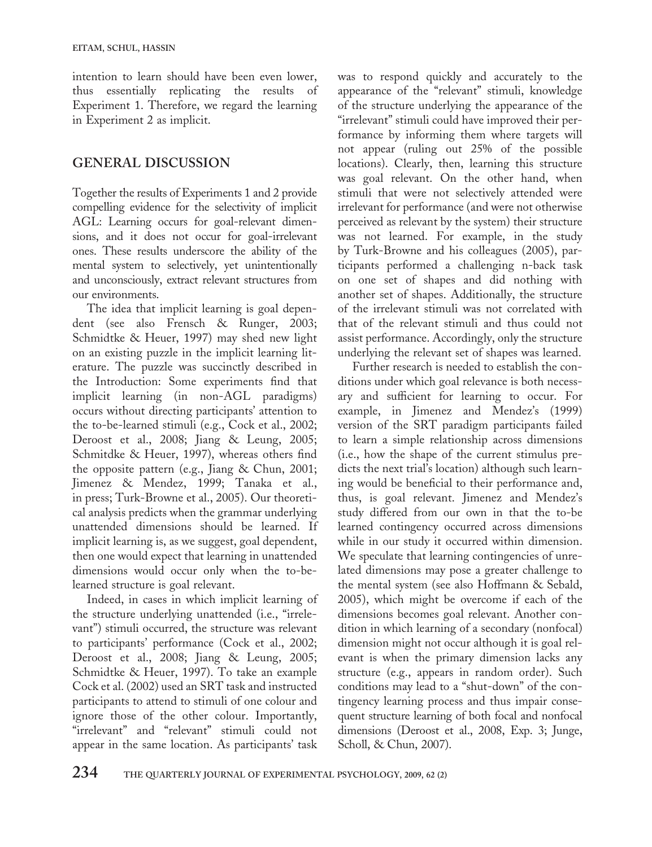intention to learn should have been even lower, thus essentially replicating the results of Experiment 1. Therefore, we regard the learning in Experiment 2 as implicit.

## GENERAL DISCUSSION

Together the results of Experiments 1 and 2 provide compelling evidence for the selectivity of implicit AGL: Learning occurs for goal-relevant dimensions, and it does not occur for goal-irrelevant ones. These results underscore the ability of the mental system to selectively, yet unintentionally and unconsciously, extract relevant structures from our environments.

The idea that implicit learning is goal dependent (see also Frensch & Runger, 2003; Schmidtke & Heuer, 1997) may shed new light on an existing puzzle in the implicit learning literature. The puzzle was succinctly described in the Introduction: Some experiments find that implicit learning (in non-AGL paradigms) occurs without directing participants' attention to the to-be-learned stimuli (e.g., Cock et al., 2002; Deroost et al., 2008; Jiang & Leung, 2005; Schmitdke & Heuer, 1997), whereas others find the opposite pattern (e.g., Jiang & Chun, 2001; Jimenez & Mendez, 1999; Tanaka et al., in press; Turk-Browne et al., 2005). Our theoretical analysis predicts when the grammar underlying unattended dimensions should be learned. If implicit learning is, as we suggest, goal dependent, then one would expect that learning in unattended dimensions would occur only when the to-belearned structure is goal relevant.

Indeed, in cases in which implicit learning of the structure underlying unattended (i.e., "irrelevant") stimuli occurred, the structure was relevant to participants' performance (Cock et al., 2002; Deroost et al., 2008; Jiang & Leung, 2005; Schmidtke & Heuer, 1997). To take an example Cock et al. (2002) used an SRT task and instructed participants to attend to stimuli of one colour and ignore those of the other colour. Importantly, "irrelevant" and "relevant" stimuli could not appear in the same location. As participants' task

was to respond quickly and accurately to the appearance of the "relevant" stimuli, knowledge of the structure underlying the appearance of the "irrelevant" stimuli could have improved their performance by informing them where targets will not appear (ruling out 25% of the possible locations). Clearly, then, learning this structure was goal relevant. On the other hand, when stimuli that were not selectively attended were irrelevant for performance (and were not otherwise perceived as relevant by the system) their structure was not learned. For example, in the study by Turk-Browne and his colleagues (2005), participants performed a challenging n-back task on one set of shapes and did nothing with another set of shapes. Additionally, the structure of the irrelevant stimuli was not correlated with that of the relevant stimuli and thus could not assist performance. Accordingly, only the structure underlying the relevant set of shapes was learned.

Further research is needed to establish the conditions under which goal relevance is both necessary and sufficient for learning to occur. For example, in Jimenez and Mendez's (1999) version of the SRT paradigm participants failed to learn a simple relationship across dimensions (i.e., how the shape of the current stimulus predicts the next trial's location) although such learning would be beneficial to their performance and, thus, is goal relevant. Jimenez and Mendez's study differed from our own in that the to-be learned contingency occurred across dimensions while in our study it occurred within dimension. We speculate that learning contingencies of unrelated dimensions may pose a greater challenge to the mental system (see also Hoffmann & Sebald, 2005), which might be overcome if each of the dimensions becomes goal relevant. Another condition in which learning of a secondary (nonfocal) dimension might not occur although it is goal relevant is when the primary dimension lacks any structure (e.g., appears in random order). Such conditions may lead to a "shut-down" of the contingency learning process and thus impair consequent structure learning of both focal and nonfocal dimensions (Deroost et al., 2008, Exp. 3; Junge, Scholl, & Chun, 2007).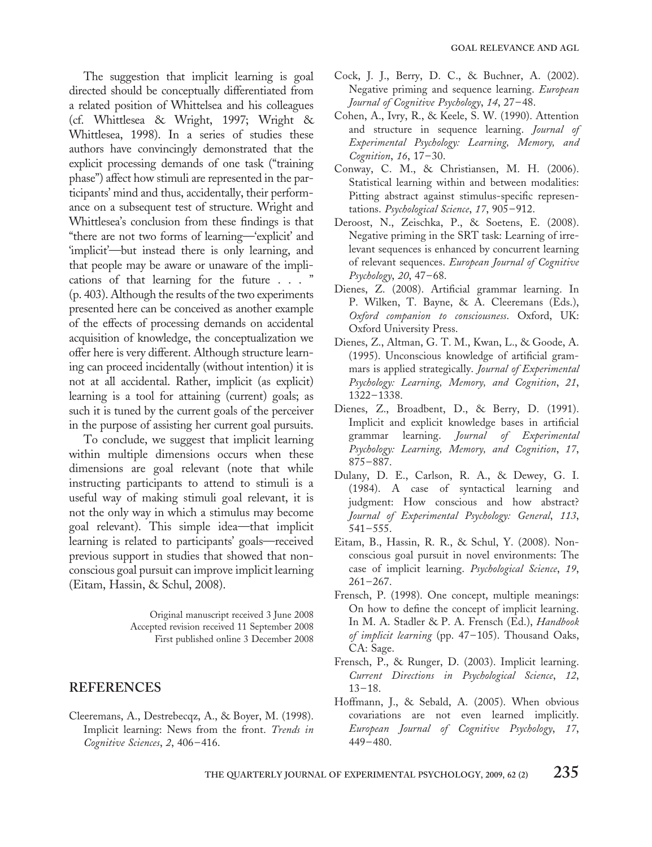The suggestion that implicit learning is goal directed should be conceptually differentiated from a related position of Whittelsea and his colleagues (cf. Whittlesea & Wright, 1997; Wright & Whittlesea, 1998). In a series of studies these authors have convincingly demonstrated that the explicit processing demands of one task ("training phase") affect how stimuli are represented in the participants' mind and thus, accidentally, their performance on a subsequent test of structure. Wright and Whittlesea's conclusion from these findings is that "there are not two forms of learning—'explicit' and 'implicit'—but instead there is only learning, and that people may be aware or unaware of the implications of that learning for the future . . . " (p. 403). Although the results of the two experiments presented here can be conceived as another example of the effects of processing demands on accidental acquisition of knowledge, the conceptualization we offer here is very different. Although structure learning can proceed incidentally (without intention) it is not at all accidental. Rather, implicit (as explicit) learning is a tool for attaining (current) goals; as such it is tuned by the current goals of the perceiver in the purpose of assisting her current goal pursuits.

To conclude, we suggest that implicit learning within multiple dimensions occurs when these dimensions are goal relevant (note that while instructing participants to attend to stimuli is a useful way of making stimuli goal relevant, it is not the only way in which a stimulus may become goal relevant). This simple idea—that implicit learning is related to participants' goals—received previous support in studies that showed that nonconscious goal pursuit can improve implicit learning (Eitam, Hassin, & Schul, 2008).

> Original manuscript received 3 June 2008 Accepted revision received 11 September 2008 First published online 3 December 2008

#### REFERENCES

Cleeremans, A., Destrebecqz, A., & Boyer, M. (1998). Implicit learning: News from the front. Trends in Cognitive Sciences, 2, 406–416.

- Cock, J. J., Berry, D. C., & Buchner, A. (2002). Negative priming and sequence learning. European Journal of Cognitive Psychology, 14, 27-48.
- Cohen, A., Ivry, R., & Keele, S. W. (1990). Attention and structure in sequence learning. Journal of Experimental Psychology: Learning, Memory, and Cognition, 16, 17-30.
- Conway, C. M., & Christiansen, M. H. (2006). Statistical learning within and between modalities: Pitting abstract against stimulus-specific representations. Psychological Science, 17, 905-912.
- Deroost, N., Zeischka, P., & Soetens, E. (2008). Negative priming in the SRT task: Learning of irrelevant sequences is enhanced by concurrent learning of relevant sequences. European Journal of Cognitive Psychology, 20, 47-68.
- Dienes, Z. (2008). Artificial grammar learning. In P. Wilken, T. Bayne, & A. Cleeremans (Eds.), Oxford companion to consciousness. Oxford, UK: Oxford University Press.
- Dienes, Z., Altman, G. T. M., Kwan, L., & Goode, A. (1995). Unconscious knowledge of artificial grammars is applied strategically. Journal of Experimental Psychology: Learning, Memory, and Cognition, 21, 1322– 1338.
- Dienes, Z., Broadbent, D., & Berry, D. (1991). Implicit and explicit knowledge bases in artificial grammar learning. Journal of Experimental Psychology: Learning, Memory, and Cognition, 17, 875– 887.
- Dulany, D. E., Carlson, R. A., & Dewey, G. I. (1984). A case of syntactical learning and judgment: How conscious and how abstract? Journal of Experimental Psychology: General, 113,  $541 - 555$ .
- Eitam, B., Hassin, R. R., & Schul, Y. (2008). Nonconscious goal pursuit in novel environments: The case of implicit learning. Psychological Science, 19,  $261 - 267.$
- Frensch, P. (1998). One concept, multiple meanings: On how to define the concept of implicit learning. In M. A. Stadler & P. A. Frensch (Ed.), Handbook of implicit learning (pp. 47-105). Thousand Oaks, CA: Sage.
- Frensch, P., & Runger, D. (2003). Implicit learning. Current Directions in Psychological Science, 12,  $13 - 18.$
- Hoffmann, J., & Sebald, A. (2005). When obvious covariations are not even learned implicitly. European Journal of Cognitive Psychology, 17, 449– 480.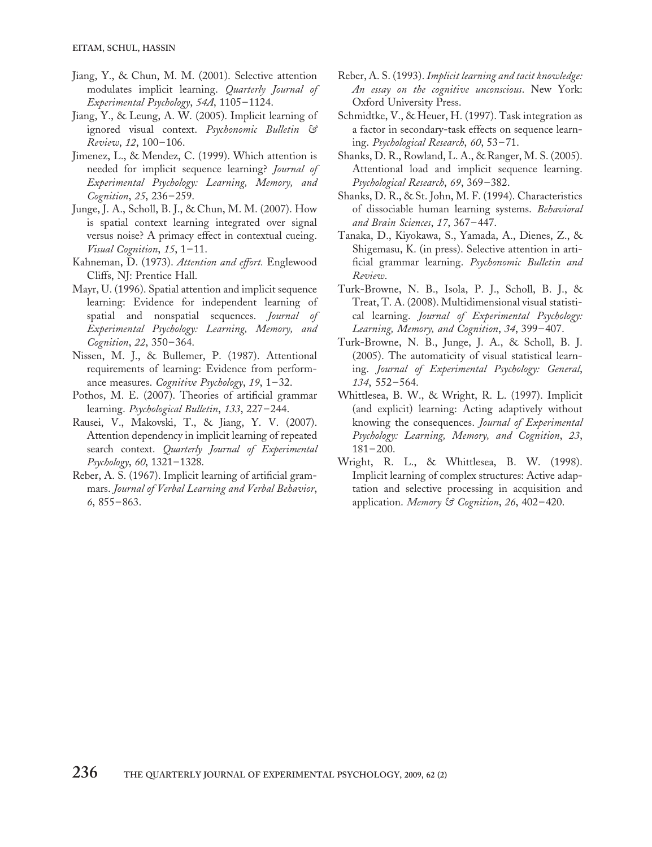- Jiang, Y., & Chun, M. M. (2001). Selective attention modulates implicit learning. Quarterly Journal of Experimental Psychology, 54A, 1105-1124.
- Jiang, Y., & Leung, A. W. (2005). Implicit learning of ignored visual context. Psychonomic Bulletin & Review, 12, 100– 106.
- Jimenez, L., & Mendez, C. (1999). Which attention is needed for implicit sequence learning? Journal of Experimental Psychology: Learning, Memory, and Cognition, 25, 236-259.
- Junge, J. A., Scholl, B. J., & Chun, M. M. (2007). How is spatial context learning integrated over signal versus noise? A primacy effect in contextual cueing. Visual Cognition, 15, 1-11.
- Kahneman, D. (1973). Attention and effort. Englewood Cliffs, NJ: Prentice Hall.
- Mayr, U. (1996). Spatial attention and implicit sequence learning: Evidence for independent learning of spatial and nonspatial sequences. Journal of Experimental Psychology: Learning, Memory, and Cognition, 22, 350-364.
- Nissen, M. J., & Bullemer, P. (1987). Attentional requirements of learning: Evidence from performance measures. Cognitive Psychology, 19, 1-32.
- Pothos, M. E. (2007). Theories of artificial grammar learning. Psychological Bulletin, 133, 227– 244.
- Rausei, V., Makovski, T., & Jiang, Y. V. (2007). Attention dependency in implicit learning of repeated search context. Quarterly Journal of Experimental Psychology, 60, 1321–1328.
- Reber, A. S. (1967). Implicit learning of artificial grammars. Journal of Verbal Learning and Verbal Behavior,  $6, 855 - 863.$
- Reber, A. S. (1993). Implicit learning and tacit knowledge: An essay on the cognitive unconscious. New York: Oxford University Press.
- Schmidtke, V., & Heuer, H. (1997). Task integration as a factor in secondary-task effects on sequence learning. Psychological Research, 60, 53 – 71.
- Shanks, D. R., Rowland, L. A., & Ranger, M. S. (2005). Attentional load and implicit sequence learning. Psychological Research, 69, 369-382.
- Shanks, D. R., & St. John, M. F. (1994). Characteristics of dissociable human learning systems. Behavioral and Brain Sciences, 17, 367– 447.
- Tanaka, D., Kiyokawa, S., Yamada, A., Dienes, Z., & Shigemasu, K. (in press). Selective attention in artificial grammar learning. Psychonomic Bulletin and Review.
- Turk-Browne, N. B., Isola, P. J., Scholl, B. J., & Treat, T. A. (2008). Multidimensional visual statistical learning. Journal of Experimental Psychology: Learning, Memory, and Cognition, 34, 399– 407.
- Turk-Browne, N. B., Junge, J. A., & Scholl, B. J. (2005). The automaticity of visual statistical learning. Journal of Experimental Psychology: General, 134, 552– 564.
- Whittlesea, B. W., & Wright, R. L. (1997). Implicit (and explicit) learning: Acting adaptively without knowing the consequences. Journal of Experimental Psychology: Learning, Memory, and Cognition, 23,  $181 - 200$ .
- Wright, R. L., & Whittlesea, B. W. (1998). Implicit learning of complex structures: Active adaptation and selective processing in acquisition and application. Memory & Cognition, 26, 402-420.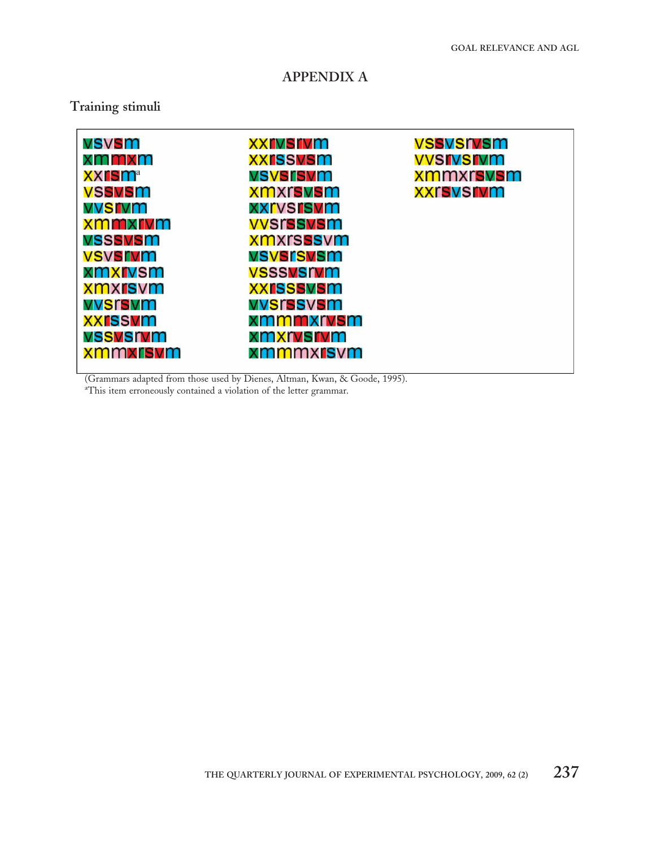## APPENDIX A

## Training stimuli

| vsvsm          | xxrvsrvm         | vssvsrvsm        |
|----------------|------------------|------------------|
| xmmxm          | <b>XXISSVSM</b>  | <b>VVSIVSIVM</b> |
| <b>XXISM</b> a | vsvsrsvm         | xmmxrsvsm        |
| <b>VSSVSM</b>  | xmxrsvsm         | <b>XXrsvsrvm</b> |
| vvsrvm         | <b>XXrvsrsvm</b> |                  |
| xmmxrvm        | <b>VVSrssvsm</b> |                  |
| vsssvsm        | <b>xmxrsssvm</b> |                  |
| <b>VSVSrvm</b> | vsvsrsvsm        |                  |
| xmxrvsm        | <b>VSSSVSIVM</b> |                  |
| xmxrsvm        | <b>XXISSSVSM</b> |                  |
| vvsrsvm        | vvsrssvsm        |                  |
| <b>XXISSVM</b> | xmmmxrvsm        |                  |
| vssvsrvm       | xmxrvsrvm        |                  |
| xmmxrsvm       | xmmmxrsvm        |                  |
|                |                  |                  |

(Grammars adapted from those used by Dienes, Altman, Kwan, & Goode, 1995).

a This item erroneously contained a violation of the letter grammar.